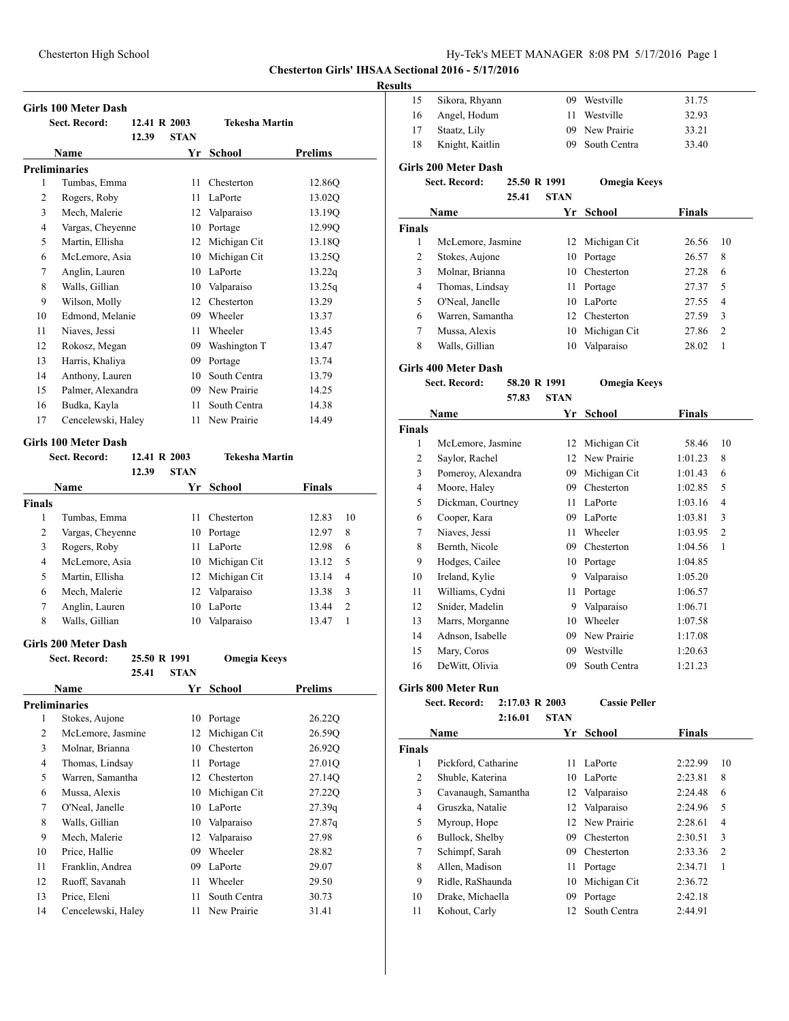# Chesterton High School Hy-Tek's MEET MANAGER 8:08 PM 5/17/2016 Page 1

# **Chesterton Girls' IHSAA Sectional 2016 - 5/17/2016**

#### **Results**

|                      | <b>Girls 100 Meter Dash</b> |              |             |                       |                |
|----------------------|-----------------------------|--------------|-------------|-----------------------|----------------|
|                      | Sect. Record:               | 12.41 R 2003 |             | <b>Tekesha Martin</b> |                |
|                      |                             | 12.39        | <b>STAN</b> |                       |                |
|                      | Name                        |              | Yr          | School                | <b>Prelims</b> |
| <b>Preliminaries</b> |                             |              |             |                       |                |
| 1                    | Tumbas, Emma                |              | 11          | Chesterton            | 12.86Q         |
| 2                    | Rogers, Roby                |              | 11          | LaPorte               | 13.02Q         |
| 3                    | Mech, Malerie               |              | 12          | Valparaiso            | 13.19Q         |
| $\overline{4}$       | Vargas, Cheyenne            |              | 10          | Portage               | 12.99Q         |
| 5                    | Martin, Ellisha             |              | 12          | Michigan Cit          | 13.18Q         |
| 6                    | McLemore, Asia              |              | 10          | Michigan Cit          | 13.25Q         |
| 7                    | Anglin, Lauren              |              | 10          | LaPorte               | 13.22q         |
| 8                    | Walls, Gillian              |              | 10          | Valparaiso            | 13.25q         |
| 9                    | Wilson, Molly               |              | 12          | Chesterton            | 13.29          |
| 10                   | Edmond, Melanie             |              | 09          | Wheeler               | 13.37          |
| 11                   | Niaves, Jessi               |              | 11          | Wheeler               | 13.45          |
| 12                   | Rokosz, Megan               |              | 09          | Washington T          | 13.47          |
| 13                   | Harris, Khaliya             |              | 09          | Portage               | 13.74          |
| 14                   | Anthony, Lauren             |              | 10          | South Centra          | 13.79          |
| 15                   | Palmer, Alexandra           |              | 09          | New Prairie           | 14.25          |
| 16                   | Budka, Kayla                |              | 11          | South Centra          | 14.38          |
| 17                   | Cencelewski, Haley          |              | 11          | New Prairie           | 14.49          |

#### **Girls 100 Meter Dash**

|               | <b>Sect. Record:</b> | 12.41 R 2003 |             | <b>Tekesha Martin</b> |               |                |
|---------------|----------------------|--------------|-------------|-----------------------|---------------|----------------|
|               |                      | 12.39        | <b>STAN</b> |                       |               |                |
|               | Name                 |              | Yr          | School                | <b>Finals</b> |                |
| <b>Finals</b> |                      |              |             |                       |               |                |
| 1             | Tumbas, Emma         |              | 11          | Chesterton            | 12.83         | 10             |
| 2             | Vargas, Cheyenne     |              | 10          | Portage               | 12.97         | 8              |
| 3             | Rogers, Roby         |              | 11          | LaPorte               | 12.98         | 6              |
| 4             | McLemore, Asia       |              | 10          | Michigan Cit          | 13.12         | .5             |
| 5             | Martin, Ellisha      |              |             | 12 Michigan Cit       | 13.14         | 4              |
| 6             | Mech, Malerie        |              | 12          | Valparaiso            | 13.38         | 3              |
| 7             | Anglin, Lauren       |              | 10          | LaPorte               | 13.44         | $\overline{c}$ |
| 8             | Walls, Gillian       |              | 10          | Valparaiso            | 13.47         |                |

#### **Girls 200 Meter Dash**

**Sect. Record: 25.50 R 1991 Omegia Keeys**

|    | 25.41              | <b>STAN</b> |              |         |  |
|----|--------------------|-------------|--------------|---------|--|
|    | Name               | Yr          | School       | Prelims |  |
|    | Preliminaries      |             |              |         |  |
| 1  | Stokes, Aujone     | 10          | Portage      | 26.22Q  |  |
| 2  | McLemore, Jasmine  | 12          | Michigan Cit | 26.59Q  |  |
| 3  | Molnar, Brianna    | 10          | Chesterton   | 26.92Q  |  |
| 4  | Thomas, Lindsay    | 11          | Portage      | 27.01Q  |  |
| 5  | Warren, Samantha   | 12          | Chesterton   | 27.14Q  |  |
| 6  | Mussa, Alexis      | 10          | Michigan Cit | 27.220  |  |
| 7  | O'Neal, Janelle    | 10          | LaPorte      | 27.39q  |  |
| 8  | Walls, Gillian     | 10          | Valparaiso   | 27.87q  |  |
| 9  | Mech, Malerie      | 12          | Valparaiso   | 27.98   |  |
| 10 | Price, Hallie      | 09          | Wheeler      | 28.82   |  |
| 11 | Franklin, Andrea   | 09          | LaPorte      | 29.07   |  |
| 12 | Ruoff, Savanah     | 11          | Wheeler      | 29.50   |  |
| 13 | Price, Eleni       | 11          | South Centra | 30.73   |  |
| 14 | Cencelewski, Haley | 11          | New Prairie  | 31.41   |  |

| 15             | Sikora, Rhyann              |              | 09          | Westville           | 31.75  |    |
|----------------|-----------------------------|--------------|-------------|---------------------|--------|----|
| 16             | Angel, Hodum                |              | 11          | Westville           | 32.93  |    |
| 17             | Staatz, Lily                |              | 09          | New Prairie         | 33.21  |    |
| 18             | Knight, Kaitlin             |              | 09          | South Centra        | 33.40  |    |
|                | <b>Girls 200 Meter Dash</b> |              |             |                     |        |    |
|                | Sect. Record:               | 25.50 R 1991 |             | <b>Omegia Keeys</b> |        |    |
|                |                             | 25.41        | <b>STAN</b> |                     |        |    |
|                | Name                        |              | Yr          | School              | Finals |    |
| Finals         |                             |              |             |                     |        |    |
| 1              | McLemore, Jasmine           |              | 12          | Michigan Cit        | 26.56  | 10 |
| 2              | Stokes, Aujone              |              | 10          | Portage             | 26.57  | 8  |
| 3              | Molnar, Brianna             |              | 10          | Chesterton          | 27.28  | 6  |
| $\overline{4}$ | Thomas, Lindsay             |              | 11          | Portage             | 27.37  | 5  |
| 5              | O'Neal, Janelle             |              | 10          | LaPorte             | 27.55  | 4  |
| 6              | Warren, Samantha            |              | 12          | Chesterton          | 27.59  | 3  |
| 7              | Mussa, Alexis               |              | 10          | Michigan Cit        | 27.86  | 2  |
| 8              | Walls, Gillian              |              | 10          | Valparaiso          | 28.02  | 1  |
|                |                             |              |             |                     |        |    |

# **Girls 400 Meter Dash**

| Sect. Record: | 58.20 R 1991 |        | <b>Omegia Keeys</b> |
|---------------|--------------|--------|---------------------|
|               | 57.83        | - STAN |                     |

|                | Name               | Yr | School       | Finals  |                |
|----------------|--------------------|----|--------------|---------|----------------|
| <b>Finals</b>  |                    |    |              |         |                |
| 1              | McLemore, Jasmine  | 12 | Michigan Cit | 58.46   | 10             |
| 2              | Saylor, Rachel     | 12 | New Prairie  | 1:01.23 | 8              |
| 3              | Pomeroy, Alexandra | 09 | Michigan Cit | 1:01.43 | 6              |
| $\overline{4}$ | Moore, Haley       | 09 | Chesterton   | 1:02.85 | 5              |
| 5              | Dickman, Courtney  | 11 | LaPorte      | 1:03.16 | 4              |
| 6              | Cooper, Kara       | 09 | LaPorte      | 1:03.81 | 3              |
| 7              | Niaves, Jessi      | 11 | Wheeler      | 1:03.95 | $\overline{2}$ |
| 8              | Bernth, Nicole     | 09 | Chesterton   | 1:04.56 | 1              |
| 9              | Hodges, Cailee     | 10 | Portage      | 1:04.85 |                |
| 10             | Ireland, Kylie     | 9  | Valparaiso   | 1:05.20 |                |
| 11             | Williams, Cydni    | 11 | Portage      | 1:06.57 |                |
| 12             | Snider, Madelin    | 9  | Valparaiso   | 1:06.71 |                |
| 13             | Marrs, Morganne    | 10 | Wheeler      | 1:07.58 |                |
| 14             | Adnson, Isabelle   | 09 | New Prairie  | 1:17.08 |                |
| 15             | Mary, Coros        | 09 | Westville    | 1:20.63 |                |
| 16             | DeWitt, Olivia     | 09 | South Centra | 1:21.23 |                |

# **Girls 800 Meter Run**

| Sect. Record: | $2:17.03 \text{ R } 2003$ | <b>Cassie Peller</b> |
|---------------|---------------------------|----------------------|
|               | 2:16.01<br>- STAN         |                      |

|               | Name                | Yr  | School         | Finals  |                |
|---------------|---------------------|-----|----------------|---------|----------------|
| <b>Finals</b> |                     |     |                |         |                |
| 1             | Pickford, Catharine | 11  | LaPorte        | 2:22.99 | 10             |
| 2             | Shuble, Katerina    | 10  | LaPorte        | 2:23.81 | 8              |
| 3             | Cavanaugh, Samantha | 12. | Valparaiso     | 2:24.48 | 6              |
| 4             | Gruszka, Natalie    | 12  | Valparaiso     | 2:24.96 | 5              |
| 5             | Myroup, Hope        |     | 12 New Prairie | 2:28.61 | $\overline{4}$ |
| 6             | Bullock, Shelby     | 09  | Chesterton     | 2:30.51 | 3              |
| 7             | Schimpf, Sarah      | 09  | Chesterton     | 2:33.36 | $\overline{2}$ |
| 8             | Allen, Madison      | 11  | Portage        | 2:34.71 | 1              |
| 9             | Ridle, RaShaunda    | 10  | Michigan Cit   | 2:36.72 |                |
| 10            | Drake, Michaella    | 09  | Portage        | 2:42.18 |                |
| 11            | Kohout, Carly       | 12. | South Centra   | 2:44.91 |                |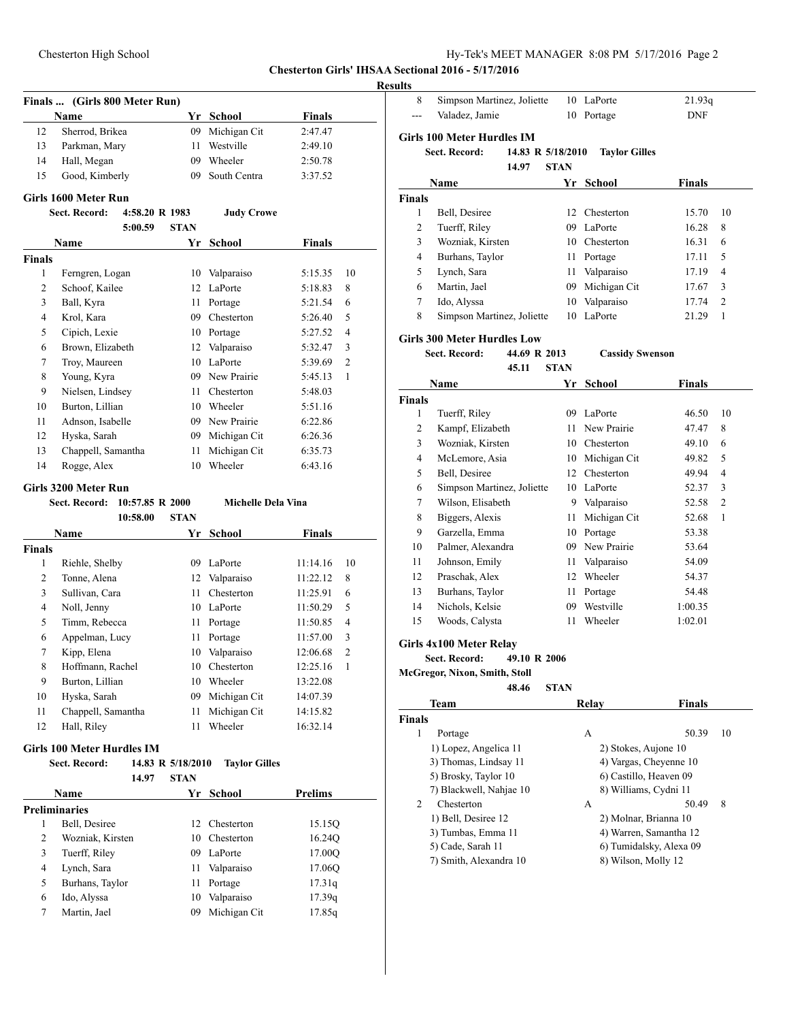**Chesterton Girls' IHSAA Sectional 2016 - 5/17/2016**

# **Resul**

|               | Finals  (Girls 800 Meter Run)     |                   |                      |                            |
|---------------|-----------------------------------|-------------------|----------------------|----------------------------|
|               | <b>Name</b>                       |                   | Yr School            | <b>Finals</b>              |
| 12            | Sherrod, Brikea                   | 09                | Michigan Cit         | 2:47.47                    |
| 13            | Parkman, Mary                     | 11                | Westville            | 2:49.10                    |
| 14            | Hall, Megan                       | 09                | Wheeler              | 2:50.78                    |
| 15            | Good, Kimberly                    | 09                | South Centra         | 3:37.52                    |
|               | Girls 1600 Meter Run              |                   |                      |                            |
|               | Sect. Record:<br>4:58.20 R 1983   |                   | <b>Judy Crowe</b>    |                            |
|               | 5:00.59                           | STAN              |                      |                            |
|               | Name                              |                   | Yr School            | <b>Finals</b>              |
| <b>Finals</b> |                                   |                   |                      |                            |
| 1             | Ferngren, Logan                   | 10                | Valparaiso           | 5:15.35<br>10              |
| 2             | Schoof, Kailee                    | 12                | LaPorte              | 5:18.83<br>8               |
| 3             | Ball, Kyra                        | 11                | Portage              | 6<br>5:21.54               |
| 4             | Krol, Kara                        | 09                | Chesterton           | 5<br>5:26.40               |
| 5             | Cipich, Lexie                     | 10                | Portage              | 4<br>5:27.52               |
| 6             | Brown, Elizabeth                  | 12                | Valparaiso           | 3<br>5:32.47               |
| 7             | Troy, Maureen                     | 10                | LaPorte              | 2<br>5:39.69               |
| 8             | Young, Kyra                       | 09                | New Prairie          | 5:45.13<br>1               |
| 9             | Nielsen, Lindsey                  | 11                | Chesterton           | 5:48.03                    |
| 10            | Burton, Lillian                   | 10                | Wheeler              | 5:51.16                    |
| 11            | Adnson, Isabelle                  | 09                | New Prairie          | 6:22.86                    |
| 12            | Hyska, Sarah                      | 09                | Michigan Cit         | 6:26.36                    |
| 13            | Chappell, Samantha                | 11                | Michigan Cit         | 6:35.73                    |
| 14            | Rogge, Alex                       | 10                | Wheeler              | 6:43.16                    |
|               | Girls 3200 Meter Run              |                   |                      |                            |
|               | Sect. Record:<br>10:57.85 R 2000  |                   | Michelle Dela Vina   |                            |
|               | 10:58.00                          | <b>STAN</b>       |                      |                            |
|               | Name                              | Yr                | School               | <b>Finals</b>              |
| <b>Finals</b> |                                   |                   |                      |                            |
|               |                                   |                   |                      |                            |
| 1             | Riehle, Shelby                    | 09                | LaPorte              | 11:14.16<br>10             |
| 2             | Tonne, Alena                      | 12                | Valparaiso           | 11:22.12<br>8              |
| 3             | Sullivan, Cara                    | 11                | Chesterton           | 11:25.91<br>6              |
| 4             | Noll, Jenny                       | 10                | LaPorte              | 5<br>11:50.29              |
| 5             | Timm, Rebecca                     | 11                | Portage              | 4<br>11:50.85              |
| 6             | Appelman, Lucy                    | 11                | Portage              | 3<br>11:57.00              |
| 7             | Kipp, Elena                       | 10                | Valparaiso           | $\overline{c}$<br>12:06.68 |
| 8             | Hoffmann, Rachel                  | 10                | Chesterton           | 12:25.16<br>1              |
| 9             | Burton, Lillian                   | 10                | Wheeler              | 13:22.08                   |
| 10            | Hyska, Sarah                      | 09                | Michigan Cit         | 14:07.39                   |
| 11            | Chappell, Samantha                | 11                | Michigan Cit         | 14:15.82                   |
| 12            | Hall, Riley                       | 11                | Wheeler              | 16:32.14                   |
|               | <b>Girls 100 Meter Hurdles IM</b> |                   |                      |                            |
|               | <b>Sect. Record:</b>              | 14.83 R 5/18/2010 | <b>Taylor Gilles</b> |                            |
|               | 14.97                             | STAN              |                      |                            |
|               | <b>Name</b>                       |                   | Yr School            | <b>Prelims</b>             |
|               | <b>Preliminaries</b>              |                   |                      |                            |
| 1             | Bell, Desiree                     | 12                | Chesterton           | 15.15Q                     |
| 2             | Wozniak, Kirsten                  | 10                | Chesterton           | 16.24Q                     |
| 3             | Tuerff, Riley                     | 09                | LaPorte              | 17.00Q                     |
| 4             | Lynch, Sara                       | 11                | Valparaiso           | 17.06Q                     |
| 5             | Burhans, Taylor                   | 11                | Portage              | 17.31q                     |
| 6             | Ido, Alyssa                       | 10                | Valparaiso           | 17.39q                     |
| 7             | Martin, Jael                      | 09                | Michigan Cit         | 17.85q                     |

| Simpson Martinez, Joliette                |                                                                                                                                                                                                                                                                                                                                                                                                                            |                                                                    |                                                                                                                                                                                                                                                                                                                                                       |                                                                                                                                                                             |
|-------------------------------------------|----------------------------------------------------------------------------------------------------------------------------------------------------------------------------------------------------------------------------------------------------------------------------------------------------------------------------------------------------------------------------------------------------------------------------|--------------------------------------------------------------------|-------------------------------------------------------------------------------------------------------------------------------------------------------------------------------------------------------------------------------------------------------------------------------------------------------------------------------------------------------|-----------------------------------------------------------------------------------------------------------------------------------------------------------------------------|
|                                           |                                                                                                                                                                                                                                                                                                                                                                                                                            | 10 LaPorte                                                         | 21.93q                                                                                                                                                                                                                                                                                                                                                |                                                                                                                                                                             |
| Valadez, Jamie                            | 10                                                                                                                                                                                                                                                                                                                                                                                                                         | Portage                                                            | <b>DNF</b>                                                                                                                                                                                                                                                                                                                                            |                                                                                                                                                                             |
| Girls 100 Meter Hurdles IM                |                                                                                                                                                                                                                                                                                                                                                                                                                            |                                                                    |                                                                                                                                                                                                                                                                                                                                                       |                                                                                                                                                                             |
| <b>Sect. Record:</b><br>14.83 R 5/18/2010 |                                                                                                                                                                                                                                                                                                                                                                                                                            | <b>Taylor Gilles</b>                                               |                                                                                                                                                                                                                                                                                                                                                       |                                                                                                                                                                             |
| 14.97                                     |                                                                                                                                                                                                                                                                                                                                                                                                                            |                                                                    |                                                                                                                                                                                                                                                                                                                                                       |                                                                                                                                                                             |
|                                           |                                                                                                                                                                                                                                                                                                                                                                                                                            |                                                                    |                                                                                                                                                                                                                                                                                                                                                       |                                                                                                                                                                             |
|                                           |                                                                                                                                                                                                                                                                                                                                                                                                                            |                                                                    |                                                                                                                                                                                                                                                                                                                                                       |                                                                                                                                                                             |
| Bell, Desiree                             |                                                                                                                                                                                                                                                                                                                                                                                                                            |                                                                    | 15.70                                                                                                                                                                                                                                                                                                                                                 | 10                                                                                                                                                                          |
|                                           |                                                                                                                                                                                                                                                                                                                                                                                                                            |                                                                    | 16.28                                                                                                                                                                                                                                                                                                                                                 | 8                                                                                                                                                                           |
| Wozniak, Kirsten                          |                                                                                                                                                                                                                                                                                                                                                                                                                            |                                                                    | 16.31                                                                                                                                                                                                                                                                                                                                                 | 6                                                                                                                                                                           |
| Burhans, Taylor                           |                                                                                                                                                                                                                                                                                                                                                                                                                            |                                                                    | 17.11                                                                                                                                                                                                                                                                                                                                                 | 5                                                                                                                                                                           |
| Lynch, Sara                               |                                                                                                                                                                                                                                                                                                                                                                                                                            |                                                                    | 17.19                                                                                                                                                                                                                                                                                                                                                 | 4                                                                                                                                                                           |
| Martin, Jael                              |                                                                                                                                                                                                                                                                                                                                                                                                                            |                                                                    | 17.67                                                                                                                                                                                                                                                                                                                                                 | 3                                                                                                                                                                           |
| Ido, Alyssa                               |                                                                                                                                                                                                                                                                                                                                                                                                                            |                                                                    | 17.74                                                                                                                                                                                                                                                                                                                                                 | 2                                                                                                                                                                           |
| Simpson Martinez, Joliette                | 10                                                                                                                                                                                                                                                                                                                                                                                                                         | LaPorte                                                            | 21.29                                                                                                                                                                                                                                                                                                                                                 | 1                                                                                                                                                                           |
|                                           |                                                                                                                                                                                                                                                                                                                                                                                                                            |                                                                    |                                                                                                                                                                                                                                                                                                                                                       |                                                                                                                                                                             |
|                                           |                                                                                                                                                                                                                                                                                                                                                                                                                            |                                                                    |                                                                                                                                                                                                                                                                                                                                                       |                                                                                                                                                                             |
|                                           |                                                                                                                                                                                                                                                                                                                                                                                                                            |                                                                    |                                                                                                                                                                                                                                                                                                                                                       |                                                                                                                                                                             |
|                                           |                                                                                                                                                                                                                                                                                                                                                                                                                            |                                                                    |                                                                                                                                                                                                                                                                                                                                                       |                                                                                                                                                                             |
|                                           |                                                                                                                                                                                                                                                                                                                                                                                                                            |                                                                    |                                                                                                                                                                                                                                                                                                                                                       |                                                                                                                                                                             |
|                                           |                                                                                                                                                                                                                                                                                                                                                                                                                            |                                                                    |                                                                                                                                                                                                                                                                                                                                                       | 10                                                                                                                                                                          |
|                                           |                                                                                                                                                                                                                                                                                                                                                                                                                            |                                                                    |                                                                                                                                                                                                                                                                                                                                                       | 8                                                                                                                                                                           |
|                                           |                                                                                                                                                                                                                                                                                                                                                                                                                            |                                                                    |                                                                                                                                                                                                                                                                                                                                                       | 6                                                                                                                                                                           |
|                                           |                                                                                                                                                                                                                                                                                                                                                                                                                            |                                                                    |                                                                                                                                                                                                                                                                                                                                                       | 5                                                                                                                                                                           |
|                                           |                                                                                                                                                                                                                                                                                                                                                                                                                            |                                                                    |                                                                                                                                                                                                                                                                                                                                                       | 4                                                                                                                                                                           |
|                                           |                                                                                                                                                                                                                                                                                                                                                                                                                            |                                                                    |                                                                                                                                                                                                                                                                                                                                                       | 3                                                                                                                                                                           |
|                                           |                                                                                                                                                                                                                                                                                                                                                                                                                            |                                                                    |                                                                                                                                                                                                                                                                                                                                                       | 2                                                                                                                                                                           |
|                                           | 11                                                                                                                                                                                                                                                                                                                                                                                                                         |                                                                    |                                                                                                                                                                                                                                                                                                                                                       | 1                                                                                                                                                                           |
| Garzella, Emma                            |                                                                                                                                                                                                                                                                                                                                                                                                                            |                                                                    | 53.38                                                                                                                                                                                                                                                                                                                                                 |                                                                                                                                                                             |
| Palmer, Alexandra                         |                                                                                                                                                                                                                                                                                                                                                                                                                            |                                                                    | 53.64                                                                                                                                                                                                                                                                                                                                                 |                                                                                                                                                                             |
|                                           |                                                                                                                                                                                                                                                                                                                                                                                                                            | Valparaiso                                                         | 54.09                                                                                                                                                                                                                                                                                                                                                 |                                                                                                                                                                             |
| Praschak, Alex                            |                                                                                                                                                                                                                                                                                                                                                                                                                            |                                                                    | 54.37                                                                                                                                                                                                                                                                                                                                                 |                                                                                                                                                                             |
| Burhans, Taylor                           | 11                                                                                                                                                                                                                                                                                                                                                                                                                         | Portage                                                            | 54.48                                                                                                                                                                                                                                                                                                                                                 |                                                                                                                                                                             |
| Nichols, Kelsie                           | 09                                                                                                                                                                                                                                                                                                                                                                                                                         | Westville                                                          | 1:00.35                                                                                                                                                                                                                                                                                                                                               |                                                                                                                                                                             |
| Woods, Calysta                            | 11                                                                                                                                                                                                                                                                                                                                                                                                                         | Wheeler                                                            | 1:02.01                                                                                                                                                                                                                                                                                                                                               |                                                                                                                                                                             |
|                                           |                                                                                                                                                                                                                                                                                                                                                                                                                            |                                                                    |                                                                                                                                                                                                                                                                                                                                                       |                                                                                                                                                                             |
|                                           |                                                                                                                                                                                                                                                                                                                                                                                                                            |                                                                    |                                                                                                                                                                                                                                                                                                                                                       |                                                                                                                                                                             |
|                                           |                                                                                                                                                                                                                                                                                                                                                                                                                            |                                                                    |                                                                                                                                                                                                                                                                                                                                                       |                                                                                                                                                                             |
|                                           |                                                                                                                                                                                                                                                                                                                                                                                                                            |                                                                    |                                                                                                                                                                                                                                                                                                                                                       |                                                                                                                                                                             |
|                                           |                                                                                                                                                                                                                                                                                                                                                                                                                            |                                                                    |                                                                                                                                                                                                                                                                                                                                                       |                                                                                                                                                                             |
|                                           |                                                                                                                                                                                                                                                                                                                                                                                                                            |                                                                    |                                                                                                                                                                                                                                                                                                                                                       |                                                                                                                                                                             |
|                                           |                                                                                                                                                                                                                                                                                                                                                                                                                            | А                                                                  |                                                                                                                                                                                                                                                                                                                                                       | 10                                                                                                                                                                          |
|                                           |                                                                                                                                                                                                                                                                                                                                                                                                                            |                                                                    |                                                                                                                                                                                                                                                                                                                                                       |                                                                                                                                                                             |
| 3) Thomas, Lindsay 11                     |                                                                                                                                                                                                                                                                                                                                                                                                                            | 4) Vargas, Cheyenne 10                                             |                                                                                                                                                                                                                                                                                                                                                       |                                                                                                                                                                             |
| 5) Brosky, Taylor 10                      |                                                                                                                                                                                                                                                                                                                                                                                                                            | 6) Castillo, Heaven 09                                             |                                                                                                                                                                                                                                                                                                                                                       |                                                                                                                                                                             |
| 7) Blackwell, Nahjae 10                   |                                                                                                                                                                                                                                                                                                                                                                                                                            | 8) Williams, Cydni 11                                              |                                                                                                                                                                                                                                                                                                                                                       |                                                                                                                                                                             |
|                                           |                                                                                                                                                                                                                                                                                                                                                                                                                            |                                                                    |                                                                                                                                                                                                                                                                                                                                                       |                                                                                                                                                                             |
| Chesterton                                |                                                                                                                                                                                                                                                                                                                                                                                                                            | A                                                                  | 50.49                                                                                                                                                                                                                                                                                                                                                 | 8                                                                                                                                                                           |
| 1) Bell, Desiree 12                       |                                                                                                                                                                                                                                                                                                                                                                                                                            | 2) Molnar, Brianna 10                                              |                                                                                                                                                                                                                                                                                                                                                       |                                                                                                                                                                             |
| 3) Tumbas, Emma 11                        |                                                                                                                                                                                                                                                                                                                                                                                                                            | 4) Warren, Samantha 12                                             |                                                                                                                                                                                                                                                                                                                                                       |                                                                                                                                                                             |
| 5) Cade, Sarah 11                         |                                                                                                                                                                                                                                                                                                                                                                                                                            | 6) Tumidalsky, Alexa 09                                            |                                                                                                                                                                                                                                                                                                                                                       |                                                                                                                                                                             |
|                                           | Name<br>Tuerff, Riley<br><b>Girls 300 Meter Hurdles Low</b><br><b>Sect. Record:</b><br>45.11<br>Name<br>Tuerff, Riley<br>Kampf, Elizabeth<br>Wozniak, Kirsten<br>McLemore, Asia<br>Bell, Desiree<br>Simpson Martinez, Joliette<br>Wilson, Elisabeth<br>Biggers, Alexis<br>Johnson, Emily<br>Girls 4x100 Meter Relay<br>Sect. Record:<br>McGregor, Nixon, Smith, Stoll<br>48.46<br>Team<br>Portage<br>1) Lopez, Angelica 11 | <b>STAN</b><br>44.69 R 2013<br><b>STAN</b><br>49.10 R 2006<br>STAN | Yr School<br>12 Chesterton<br>09 LaPorte<br>10 Chesterton<br>11 Portage<br>11 Valparaiso<br>09 Michigan Cit<br>10 Valparaiso<br>Yr<br><b>School</b><br>09 LaPorte<br>11 New Prairie<br>10 Chesterton<br>10 Michigan Cit<br>12 Chesterton<br>10 LaPorte<br>9 Valparaiso<br>Michigan Cit<br>10 Portage<br>09 New Prairie<br>11 -<br>12 Wheeler<br>Relay | Finals<br><b>Cassidy Swenson</b><br><b>Finals</b><br>46.50<br>47.47<br>49.10<br>49.82<br>49.94<br>52.37<br>52.58<br>52.68<br><b>Finals</b><br>50.39<br>2) Stokes, Aujone 10 |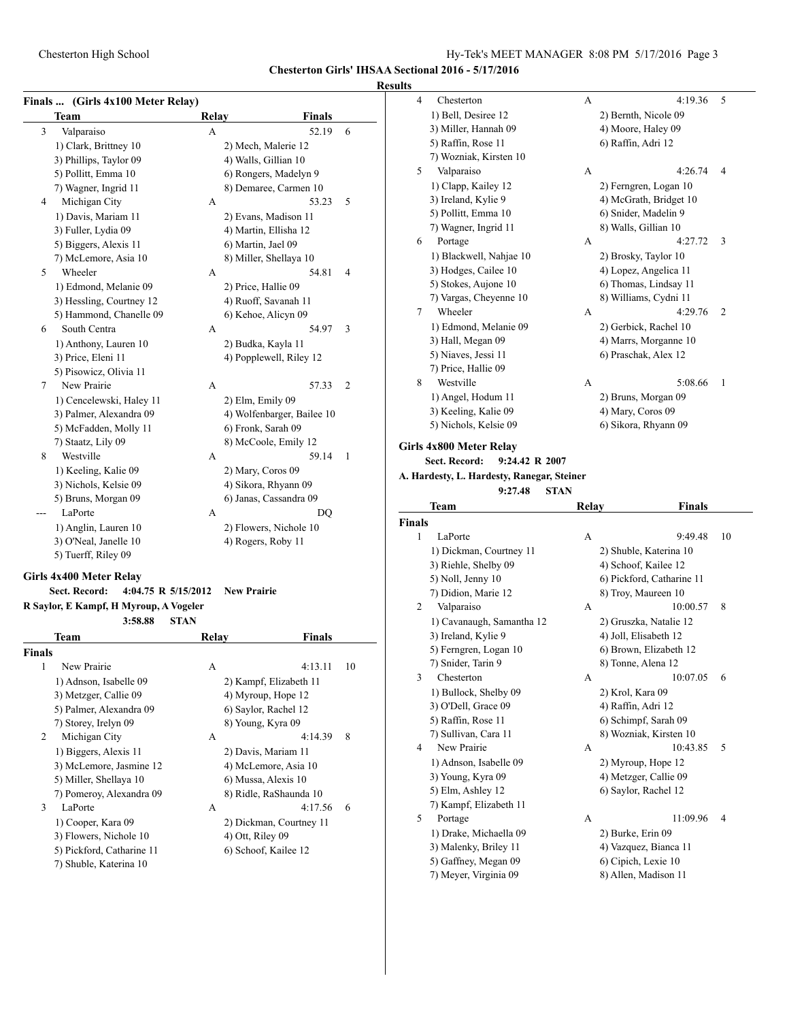**Chesterton Girls' IHSAA Sectional 2016 - 5/17/2016**

#### **Results**

| <b>Finals</b> |  | (Girls 4x100 Meter Relay) |
|---------------|--|---------------------------|
|               |  |                           |

|   | r mais  (On is 74100 meter ixelay)<br>Team | Relay | <b>Finals</b>              |                |
|---|--------------------------------------------|-------|----------------------------|----------------|
| 3 | Valparaiso                                 | A     | 52.19                      | 6              |
|   | 1) Clark, Brittney 10                      |       | 2) Mech, Malerie 12        |                |
|   | 3) Phillips, Taylor 09                     |       | 4) Walls, Gillian 10       |                |
|   | 5) Pollitt, Emma 10                        |       | 6) Rongers, Madelyn 9      |                |
|   | 7) Wagner, Ingrid 11                       |       | 8) Demaree, Carmen 10      |                |
| 4 | Michigan City                              | A     | 53.23                      | 5              |
|   | 1) Davis, Mariam 11                        |       | 2) Evans, Madison 11       |                |
|   | 3) Fuller, Lydia 09                        |       | 4) Martin, Ellisha 12      |                |
|   | 5) Biggers, Alexis 11                      |       | 6) Martin, Jael 09         |                |
|   | 7) McLemore, Asia 10                       |       | 8) Miller, Shellaya 10     |                |
| 5 | Wheeler                                    | A     | 54.81                      | $\overline{4}$ |
|   | 1) Edmond, Melanie 09                      |       | 2) Price, Hallie 09        |                |
|   | 3) Hessling, Courtney 12                   |       | 4) Ruoff, Savanah 11       |                |
|   | 5) Hammond, Chanelle 09                    |       | 6) Kehoe, Alicyn 09        |                |
| 6 | South Centra                               | A     | 54.97                      | 3              |
|   | 1) Anthony, Lauren 10                      |       | 2) Budka, Kayla 11         |                |
|   | 3) Price, Eleni 11                         |       | 4) Popplewell, Riley 12    |                |
|   | 5) Pisowicz, Olivia 11                     |       |                            |                |
| 7 | New Prairie                                | A     | 57.33                      | $\overline{2}$ |
|   | 1) Cencelewski, Haley 11                   |       | 2) Elm, Emily 09           |                |
|   | 3) Palmer, Alexandra 09                    |       | 4) Wolfenbarger, Bailee 10 |                |
|   | 5) McFadden, Molly 11                      |       | 6) Fronk, Sarah 09         |                |
|   | 7) Staatz, Lily 09                         |       | 8) McCoole, Emily 12       |                |
| 8 | Westville                                  | A     | 59.14                      | 1              |
|   | 1) Keeling, Kalie 09                       |       | 2) Mary, Coros 09          |                |
|   | 3) Nichols, Kelsie 09                      |       | 4) Sikora, Rhyann 09       |                |
|   | 5) Bruns, Morgan 09                        |       | 6) Janas, Cassandra 09     |                |
|   | LaPorte                                    | A     | DO                         |                |
|   | 1) Anglin, Lauren 10                       |       | 2) Flowers, Nichole 10     |                |
|   | 3) O'Neal, Janelle 10                      |       | 4) Rogers, Roby 11         |                |
|   | 5) Tuerff, Riley 09                        |       |                            |                |

# **Girls 4x400 Meter Relay**

# **Sect. Record: 4:04.75 R 5/15/2012 New Prairie**

**R Saylor, E Kampf, H Myroup, A Vogeler 3:58.88 STAN**

|               | Team                      | Relay | Finals                  |    |
|---------------|---------------------------|-------|-------------------------|----|
| <b>Finals</b> |                           |       |                         |    |
| 1             | New Prairie               | A     | 4:13.11                 | 10 |
|               | 1) Adnson, Isabelle 09    |       | 2) Kampf, Elizabeth 11  |    |
|               | 3) Metzger, Callie 09     |       | 4) Myroup, Hope 12      |    |
|               | 5) Palmer, Alexandra 09   |       | 6) Saylor, Rachel 12    |    |
|               | 7) Storey, Irelyn 09      |       | 8) Young, Kyra 09       |    |
| 2             | Michigan City             | A     | 4:14.39                 | 8  |
|               | 1) Biggers, Alexis 11     |       | 2) Davis, Mariam 11     |    |
|               | 3) McLemore, Jasmine 12   |       | 4) McLemore, Asia 10    |    |
|               | 5) Miller, Shellaya 10    |       | 6) Mussa, Alexis 10     |    |
|               | 7) Pomeroy, Alexandra 09  |       | 8) Ridle, RaShaunda 10  |    |
| 3             | LaPorte                   | A     | 4:17.56                 | 6  |
|               | 1) Cooper, Kara 09        |       | 2) Dickman, Courtney 11 |    |
|               | 3) Flowers, Nichole 10    |       | $4)$ Ott, Riley 09      |    |
|               | 5) Pickford, Catharine 11 |       | 6) Schoof, Kailee 12    |    |
|               | 7) Shuble, Katerina 10    |       |                         |    |
|               |                           |       |                         |    |

| 4 | Chesterton              | A | 4:19.36                | 5              |
|---|-------------------------|---|------------------------|----------------|
|   | 1) Bell, Desiree 12     |   | 2) Bernth, Nicole 09   |                |
|   | 3) Miller, Hannah 09    |   | 4) Moore, Haley 09     |                |
|   | 5) Raffin, Rose 11      |   | 6) Raffin, Adri 12     |                |
|   | 7) Wozniak, Kirsten 10  |   |                        |                |
| 5 | Valparaiso              | A | 4:26.74                | 4              |
|   | 1) Clapp, Kailey 12     |   | 2) Ferngren, Logan 10  |                |
|   | 3) Ireland, Kylie 9     |   | 4) McGrath, Bridget 10 |                |
|   | 5) Pollitt, Emma 10     |   | 6) Snider, Madelin 9   |                |
|   | 7) Wagner, Ingrid 11    |   | 8) Walls, Gillian 10   |                |
| 6 | Portage                 | A | 4:27.72                | 3              |
|   | 1) Blackwell, Nahjae 10 |   | 2) Brosky, Taylor 10   |                |
|   | 3) Hodges, Cailee 10    |   | 4) Lopez, Angelica 11  |                |
|   | 5) Stokes, Aujone 10    |   | 6) Thomas, Lindsay 11  |                |
|   | 7) Vargas, Cheyenne 10  |   | 8) Williams, Cydni 11  |                |
| 7 | Wheeler                 | A | 4:29.76                | $\overline{2}$ |
|   | 1) Edmond, Melanie 09   |   | 2) Gerbick, Rachel 10  |                |
|   | 3) Hall, Megan 09       |   | 4) Marrs, Morganne 10  |                |
|   | 5) Niaves, Jessi 11     |   | 6) Praschak, Alex 12   |                |
|   | 7) Price, Hallie 09     |   |                        |                |
| 8 | Westville               | A | 5:08.66                | 1              |
|   | 1) Angel, Hodum 11      |   | 2) Bruns, Morgan 09    |                |
|   | 3) Keeling, Kalie 09    |   | 4) Mary, Coros 09      |                |
|   | 5) Nichols, Kelsie 09   |   | 6) Sikora, Rhyann 09   |                |
|   |                         |   |                        |                |

# **Girls 4x800 Meter Relay**

**Sect. Record: 9:24.42 R 2007 A. Hardesty, L. Hardesty, Ranegar, Steiner**

```
9:27.48 STAN
```

|               | Team                      | <b>Relay</b> | Finals                    |    |
|---------------|---------------------------|--------------|---------------------------|----|
| <b>Finals</b> |                           |              |                           |    |
| 1             | LaPorte                   | A            | 9:49.48                   | 10 |
|               | 1) Dickman, Courtney 11   |              | 2) Shuble, Katerina 10    |    |
|               | 3) Riehle, Shelby 09      |              | 4) Schoof, Kailee 12      |    |
|               | 5) Noll, Jenny 10         |              | 6) Pickford, Catharine 11 |    |
|               | 7) Didion, Marie 12       |              | 8) Troy, Maureen 10       |    |
| 2             | Valparaiso                | A            | 10:00.57                  | 8  |
|               | 1) Cavanaugh, Samantha 12 |              | 2) Gruszka, Natalie 12    |    |
|               | 3) Ireland, Kylie 9       |              | 4) Joll, Elisabeth 12     |    |
|               | 5) Ferngren, Logan 10     |              | 6) Brown, Elizabeth 12    |    |
|               | 7) Snider, Tarin 9        |              | 8) Tonne, Alena 12        |    |
| 3             | Chesterton                | A            | 10:07.05                  | 6  |
|               | 1) Bullock, Shelby 09     |              | 2) Krol, Kara 09          |    |
|               | 3) O'Dell, Grace 09       |              | 4) Raffin, Adri 12        |    |
|               | 5) Raffin, Rose 11        |              | 6) Schimpf, Sarah 09      |    |
|               | 7) Sullivan, Cara 11      |              | 8) Wozniak, Kirsten 10    |    |
| 4             | New Prairie               | A            | 10:43.85                  | 5  |
|               | 1) Adnson, Isabelle 09    |              | 2) Myroup, Hope 12        |    |
|               | 3) Young, Kyra 09         |              | 4) Metzger, Callie 09     |    |
|               | 5) Elm, Ashley 12         |              | 6) Saylor, Rachel 12      |    |
|               | 7) Kampf, Elizabeth 11    |              |                           |    |
| 5             | Portage                   | A            | 11:09.96                  | 4  |
|               | 1) Drake, Michaella 09    |              | 2) Burke, Erin 09         |    |
|               | 3) Malenky, Briley 11     |              | 4) Vazquez, Bianca 11     |    |
|               | 5) Gaffney, Megan 09      |              | 6) Cipich, Lexie 10       |    |
|               | 7) Meyer, Virginia 09     |              | 8) Allen, Madison 11      |    |
|               |                           |              |                           |    |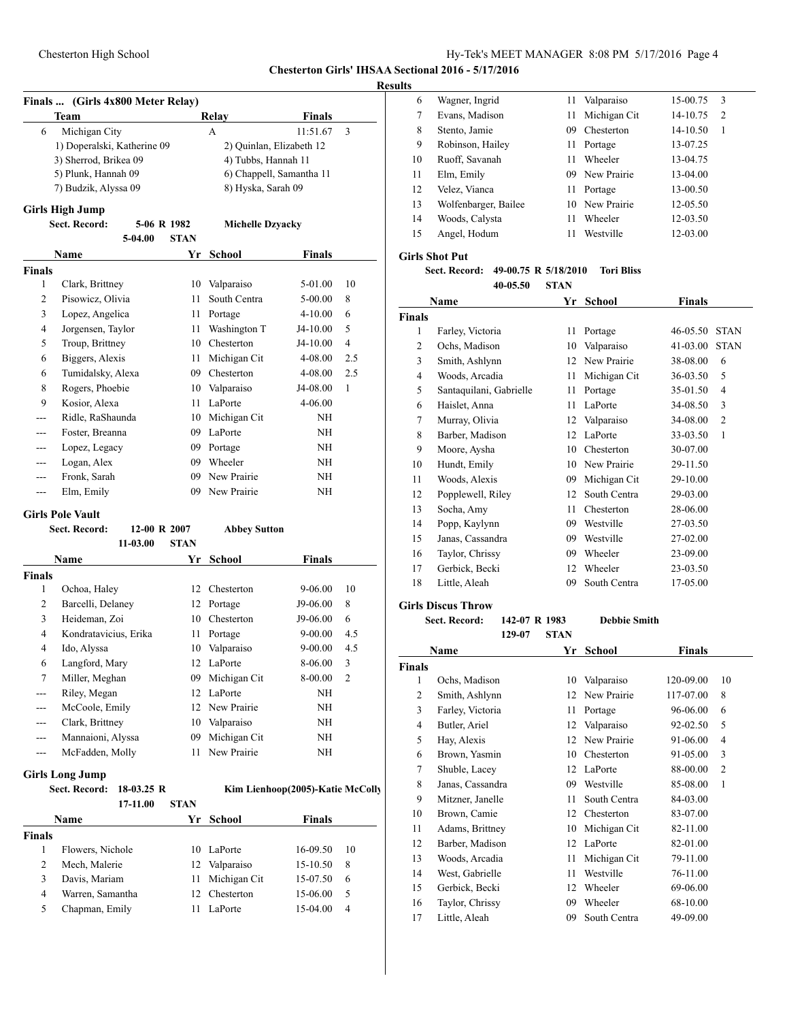#### **Chesterton Girls' IHSAA Sectional 2016 - 5/17/2016**

#### **Results**

| Finals  (Girls 4x800 Meter Relay) |       |        |
|-----------------------------------|-------|--------|
| Team                              | Relav | Finals |

| Michigan City<br>6          | 11:51.67<br>$\mathcal{R}$<br>А |
|-----------------------------|--------------------------------|
| 1) Doperalski, Katherine 09 | 2) Quinlan, Elizabeth 12       |
| 3) Sherrod, Brikea 09       | 4) Tubbs, Hannah 11            |
| 5) Plunk, Hannah 09         | 6) Chappell, Samantha 11       |
| 7) Budzik, Alyssa 09        | 8) Hyska, Sarah 09             |
| Cirls High Lumn             |                                |

#### **Girls High Jump**

**Sect. Record: 5-06 R 1982 Michelle Dzyacky**

|                | 5-04.00           | <b>STAN</b> |              |               |                |
|----------------|-------------------|-------------|--------------|---------------|----------------|
|                | Name              | Yr          | School       | <b>Finals</b> |                |
| Finals         |                   |             |              |               |                |
| 1              | Clark, Brittney   | 10          | Valparaiso   | 5-01.00       | 10             |
| $\overline{2}$ | Pisowicz, Olivia  | 11          | South Centra | 5-00.00       | 8              |
| 3              | Lopez, Angelica   | 11          | Portage      | $4 - 10.00$   | 6              |
| 4              | Jorgensen, Taylor | 11          | Washington T | J4-10.00      | 5              |
| 5              | Troup, Brittney   | 10          | Chesterton   | J4-10.00      | $\overline{4}$ |
| 6              | Biggers, Alexis   | 11          | Michigan Cit | 4-08.00       | 2.5            |
| 6              | Tumidalsky, Alexa | 09          | Chesterton   | 4-08.00       | 2.5            |
| 8              | Rogers, Phoebie   | 10          | Valparaiso   | J4-08.00      | 1              |
| 9              | Kosior, Alexa     | 11          | LaPorte      | 4-06.00       |                |
|                | Ridle, RaShaunda  | 10          | Michigan Cit | NΗ            |                |
|                | Foster, Breanna   | 09          | LaPorte      | NΗ            |                |
|                | Lopez, Legacy     | 09          | Portage      | NΗ            |                |
|                | Logan, Alex       | 09          | Wheeler      | NΗ            |                |
|                | Fronk, Sarah      | 09          | New Prairie  | NΗ            |                |
|                | Elm, Emily        | 09          | New Prairie  | NH            |                |

#### **Girls Pole Vault**

|                | Sect. Record:         | 12-00 R 2007 | <b>Abbey Sutton</b> |               |                |
|----------------|-----------------------|--------------|---------------------|---------------|----------------|
|                | 11-03.00              | <b>STAN</b>  |                     |               |                |
|                | <b>Name</b>           | Yr           | School              | <b>Finals</b> |                |
| <b>Finals</b>  |                       |              |                     |               |                |
| 1              | Ochoa, Haley          | 12           | Chesterton          | $9 - 06.00$   | 10             |
| $\overline{2}$ | Barcelli, Delaney     |              | 12 Portage          | J9-06.00      | 8              |
| 3              | Heideman, Zoi         | 10           | Chesterton          | J9-06.00      | 6              |
| 4              | Kondratavicius, Erika | 11           | Portage             | $9 - 00.00$   | 4.5            |
| 4              | Ido, Alyssa           | 10           | Valparaiso          | $9 - 00.00$   | 4.5            |
| 6              | Langford, Mary        | 12           | LaPorte             | 8-06.00       | 3              |
| 7              | Miller, Meghan        | 09           | Michigan Cit        | 8-00.00       | $\overline{2}$ |
|                | Riley, Megan          | 12           | LaPorte             | NH            |                |
| ---            | McCoole, Emily        |              | 12 New Prairie      | NH            |                |
| ---            | Clark, Brittney       | 10           | Valparaiso          | NH            |                |
| ---            | Mannaioni, Alyssa     | 09           | Michigan Cit        | NH            |                |
|                | McFadden, Molly       | 11           | New Prairie         | NH            |                |
|                |                       |              |                     |               |                |

#### **Girls Long Jump**

|        | Sect. Record:<br>$18-03.25$ R |          | Kim Lienhoop(2005)-Katie McColly |              |               |    |
|--------|-------------------------------|----------|----------------------------------|--------------|---------------|----|
|        |                               | 17-11.00 | <b>STAN</b>                      |              |               |    |
|        | Name                          |          |                                  | Yr School    | <b>Finals</b> |    |
| Finals |                               |          |                                  |              |               |    |
|        | Flowers, Nichole              |          | 10                               | LaPorte      | 16-09.50      | 10 |
| 2      | Mech, Malerie                 |          | 12                               | Valparaiso   | 15-10.50      | 8  |
| 3      | Davis, Mariam                 |          | 11                               | Michigan Cit | 15-07.50      | 6  |
| 4      | Warren, Samantha              |          | 12.                              | Chesterton   | 15-06.00      | 5  |
| 5      | Chapman, Emily                |          | 11                               | LaPorte      | $15-04.00$    | 4  |
|        |                               |          |                                  |              |               |    |

| 6  | Wagner, Ingrid       | 11  | Valparaiso   | 15-00.75 | 3 |
|----|----------------------|-----|--------------|----------|---|
| 7  | Evans, Madison       | 11  | Michigan Cit | 14-10.75 | 2 |
| 8  | Stento, Jamie        | 09  | Chesterton   | 14-10.50 | 1 |
| 9  | Robinson, Hailey     | 11  | Portage      | 13-07.25 |   |
| 10 | Ruoff, Savanah       | 11  | Wheeler      | 13-04.75 |   |
| 11 | Elm, Emily           | 09. | New Prairie  | 13-04.00 |   |
| 12 | Velez, Vianca        | 11  | Portage      | 13-00.50 |   |
| 13 | Wolfenbarger, Bailee | 10  | New Prairie  | 12-05.50 |   |
| 14 | Woods, Calysta       | 11  | Wheeler      | 12-03.50 |   |
| 15 | Angel, Hodum         | 11  | Westville    | 12-03.00 |   |
|    |                      |     |              |          |   |

# **Girls Shot Put**

#### **Sect. Record: 49-00.75 R 5/18/2010 Tori Bliss 40-05.50 STAN**

| Name          |                         | Yr | <b>School</b> | <b>Finals</b> |                |
|---------------|-------------------------|----|---------------|---------------|----------------|
| <b>Finals</b> |                         |    |               |               |                |
| 1             | Farley, Victoria        | 11 | Portage       | 46-05.50      | <b>STAN</b>    |
| 2             | Ochs, Madison           | 10 | Valparaiso    | 41-03.00      | <b>STAN</b>    |
| 3             | Smith, Ashlynn          | 12 | New Prairie   | 38-08.00      | 6              |
| 4             | Woods, Arcadia          | 11 | Michigan Cit  | 36-03.50      | 5              |
| 5             | Santaquilani, Gabrielle | 11 | Portage       | 35-01.50      | 4              |
| 6             | Haislet, Anna           | 11 | LaPorte       | 34-08.50      | 3              |
| $\tau$        | Murray, Olivia          | 12 | Valparaiso    | 34-08.00      | $\overline{c}$ |
| 8             | Barber, Madison         | 12 | LaPorte       | 33-03.50      | 1              |
| 9             | Moore, Aysha            | 10 | Chesterton    | 30-07.00      |                |
| 10            | Hundt, Emily            | 10 | New Prairie   | 29-11.50      |                |
| 11            | Woods, Alexis           | 09 | Michigan Cit  | 29-10.00      |                |
| 12            | Popplewell, Riley       | 12 | South Centra  | 29-03.00      |                |
| 13            | Socha, Amy              | 11 | Chesterton    | 28-06.00      |                |
| 14            | Popp, Kaylynn           | 09 | Westville     | 27-03.50      |                |
| 15            | Janas, Cassandra        | 09 | Westville     | 27-02.00      |                |
| 16            | Taylor, Chrissy         | 09 | Wheeler       | 23-09.00      |                |
| 17            | Gerbick, Becki          | 12 | Wheeler       | 23-03.50      |                |
| 18            | Little, Aleah           | 09 | South Centra  | 17-05.00      |                |
|               |                         |    |               |               |                |

### **Girls Discus Throw**

**Sect. Record: 142-07 R 1983 Debbie Smith**

**129-07 STAN Name Yr School Finals Finals** Ochs, Madison 10 Valparaiso 120-09.00 10 Smith, Ashlynn 12 New Prairie 117-07.00 8 Farley, Victoria 11 Portage 96-06.00 6 Butler, Ariel 12 Valparaiso 92-02.50 5 Hay, Alexis 12 New Prairie 91-06.00 4 Brown, Yasmin 10 Chesterton 91-05.00 3 Shuble, Lacey 12 LaPorte 88-00.00 2 8 Janas, Cassandra 09 Westville 85-08.00 1 Mitzner, Janelle 11 South Centra 84-03.00 Brown, Camie 12 Chesterton 83-07.00 Adams, Brittney 10 Michigan Cit 82-11.00 12 Barber, Madison 12 LaPorte 82-01.00 Woods, Arcadia 11 Michigan Cit 79-11.00 West, Gabrielle 11 Westville 76-11.00 15 Gerbick, Becki 12 Wheeler 69-06.00 Taylor, Chrissy 09 Wheeler 68-10.00 Little, Aleah 09 South Centra 49-09.00